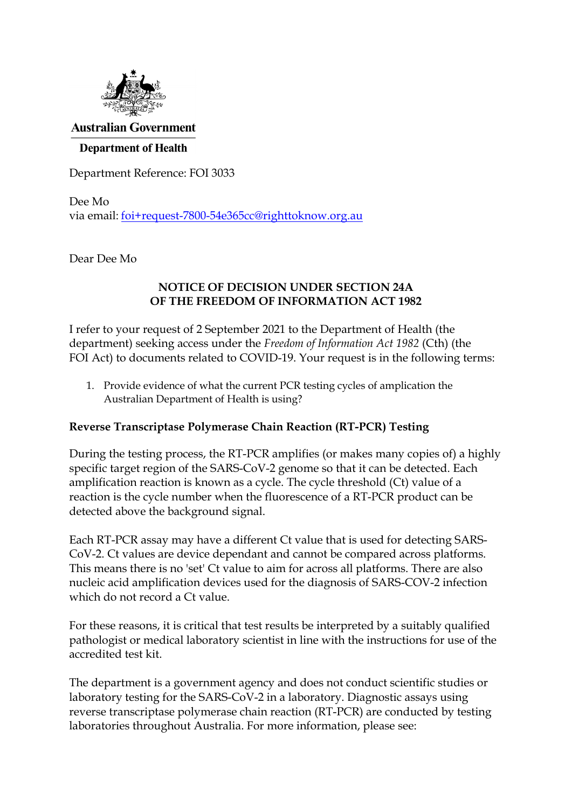

#### **Australian Government**

#### **Department of Health**

Department Reference: FOI 3033

Dee Mo via email: [foi+request-7800-54e365cc@righttoknow.org.au](mailto:xxxxxxxxxxxxxxxxxxxxxxxxx@xxxxxxxxxxx.xxx.xx)

Dear Dee Mo

#### **NOTICE OF DECISION UNDER SECTION 24A OF THE FREEDOM OF INFORMATION ACT 1982**

I refer to your request of 2 September 2021 to the Department of Health (the department) seeking access under the *Freedom of Information Act 1982* (Cth) (the FOI Act) to documents related to COVID-19. Your request is in the following terms:

1. Provide evidence of what the current PCR testing cycles of amplication the Australian Department of Health is using?

#### **Reverse Transcriptase Polymerase Chain Reaction (RT-PCR) Testing**

During the testing process, the RT-PCR amplifies (or makes many copies of) a highly specific target region of the SARS-CoV-2 genome so that it can be detected. Each amplification reaction is known as a cycle. The cycle threshold (Ct) value of a reaction is the cycle number when the fluorescence of a RT-PCR product can be detected above the background signal.

Each RT-PCR assay may have a different Ct value that is used for detecting SARS-CoV-2. Ct values are device dependant and cannot be compared across platforms. This means there is no 'set' Ct value to aim for across all platforms. There are also nucleic acid amplification devices used for the diagnosis of SARS-COV-2 infection which do not record a Ct value.

For these reasons, it is critical that test results be interpreted by a suitably qualified pathologist or medical laboratory scientist in line with the instructions for use of the accredited test kit.

The department is a government agency and does not conduct scientific studies or laboratory testing for the SARS-CoV-2 in a laboratory. Diagnostic assays using reverse transcriptase polymerase chain reaction (RT-PCR) are conducted by testing laboratories throughout Australia. For more information, please see: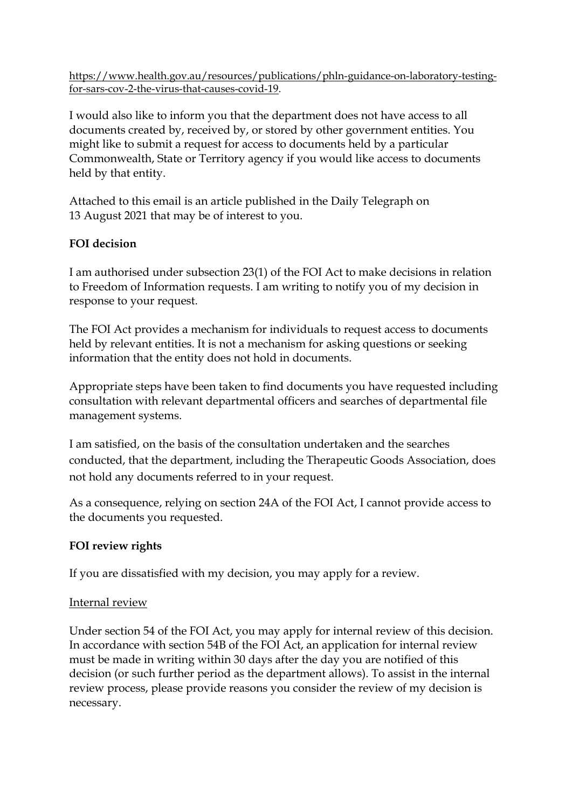[https://www.health.gov.au/resources/publications/phln-guidance-on-laboratory-testing](https://www.health.gov.au/resources/publications/phln-guidance-on-laboratory-testing-for-sars-cov-2-the-virus-that-causes-covid-19)[for-sars-cov-2-the-virus-that-causes-covid-19.](https://www.health.gov.au/resources/publications/phln-guidance-on-laboratory-testing-for-sars-cov-2-the-virus-that-causes-covid-19)

I would also like to inform you that the department does not have access to all documents created by, received by, or stored by other government entities. You might like to submit a request for access to documents held by a particular Commonwealth, State or Territory agency if you would like access to documents held by that entity.

Attached to this email is an article published in the Daily Telegraph on 13 August 2021 that may be of interest to you.

# **FOI decision**

I am authorised under subsection 23(1) of the FOI Act to make decisions in relation to Freedom of Information requests. I am writing to notify you of my decision in response to your request.

The FOI Act provides a mechanism for individuals to request access to documents held by relevant entities. It is not a mechanism for asking questions or seeking information that the entity does not hold in documents.

Appropriate steps have been taken to find documents you have requested including consultation with relevant departmental officers and searches of departmental file management systems.

I am satisfied, on the basis of the consultation undertaken and the searches conducted, that the department, including the Therapeutic Goods Association, does not hold any documents referred to in your request.

As a consequence, relying on section 24A of the FOI Act, I cannot provide access to the documents you requested.

# **FOI review rights**

If you are dissatisfied with my decision, you may apply for a review.

# Internal review

Under section 54 of the FOI Act, you may apply for internal review of this decision. In accordance with section 54B of the FOI Act, an application for internal review must be made in writing within 30 days after the day you are notified of this decision (or such further period as the department allows). To assist in the internal review process, please provide reasons you consider the review of my decision is necessary.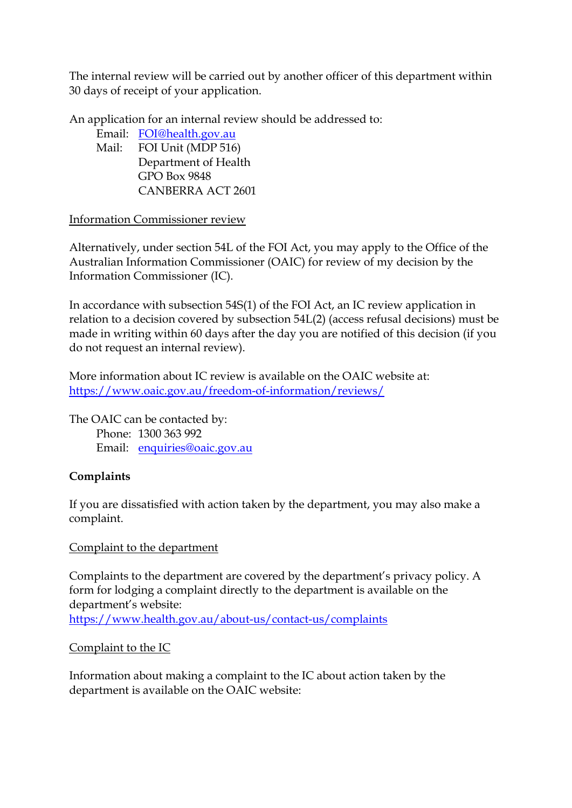The internal review will be carried out by another officer of this department within 30 days of receipt of your application.

An application for an internal review should be addressed to:

Email: [FOI@health.gov.au](mailto:xxx@xxxxxx.xxx.xx)  Mail: FOI Unit (MDP 516) Department of Health GPO Box 9848 CANBERRA ACT 2601

### Information Commissioner review

Alternatively, under section 54L of the FOI Act, you may apply to the Office of the Australian Information Commissioner (OAIC) for review of my decision by the Information Commissioner (IC).

In accordance with subsection 54S(1) of the FOI Act, an IC review application in relation to a decision covered by subsection 54L(2) (access refusal decisions) must be made in writing within 60 days after the day you are notified of this decision (if you do not request an internal review).

More information about IC review is available on the OAIC website at: <https://www.oaic.gov.au/freedom-of-information/reviews/>

The OAIC can be contacted by: Phone: 1300 363 992 Email: [enquiries@oaic.gov.au](mailto:xxxxxxxxx@xxxx.xxx.xx)

# **Complaints**

If you are dissatisfied with action taken by the department, you may also make a complaint.

### Complaint to the department

Complaints to the department are covered by the department's privacy policy. A form for lodging a complaint directly to the department is available on the department's website: <https://www.health.gov.au/about-us/contact-us/complaints>

### Complaint to the IC

Information about making a complaint to the IC about action taken by the department is available on the OAIC website: